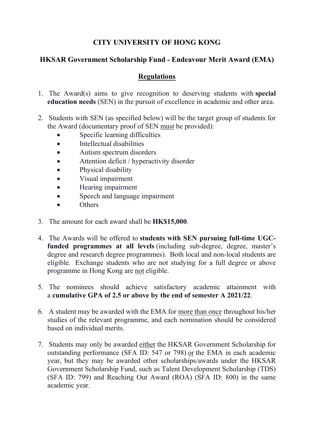## **CITY UNIVERSITY OF HONG KONG**

## **HKSAR Government Scholarship Fund - Endeavour Merit Award (EMA)**

## **Regulations**

- 1. The Award(s) aims to give recognition to deserving students with **special education needs** (SEN) in the pursuit of excellence in academic and other area.
- 2. Students with SEN (as specified below) will be the target group of students for the Award (documentary proof of SEN must be provided):
	- Specific learning difficulties
	- Intellectual disabilities
	- Autism spectrum disorders
	- Attention deficit / hyperactivity disorder
	- Physical disability
	- Visual impairment
	- Hearing impairment
	- Speech and language impairment
	- Others
- 3. The amount for each award shall be **HK\$15,000**.
- 4. The Awards will be offered to **students with SEN pursuing full-time UGCfunded programmes at all levels** (including sub-degree, degree, master's degree and research degree programmes). Both local and non-local students are eligible. Exchange students who are not studying for a full degree or above programme in Hong Kong are not eligible.
- 5. The nominees should achieve satisfactory academic attainment with a **cumulative GPA of 2.5 or above by the end of semester A 2021/22**.
- 6. A student may be awarded with the EMA for more than once throughout his/her studies of the relevant programme, and each nomination should be considered based on individual merits.
- 7. Students may only be awarded either the HKSAR Government Scholarship for outstanding performance (SFA ID: 547 or 798) or the EMA in each academic year, but they may be awarded other scholarships/awards under the HKSAR Government Scholarship Fund, such as Talent Development Scholarship (TDS) (SFA ID: 799) and Reaching Out Award (ROA) (SFA ID: 800) in the same academic year.